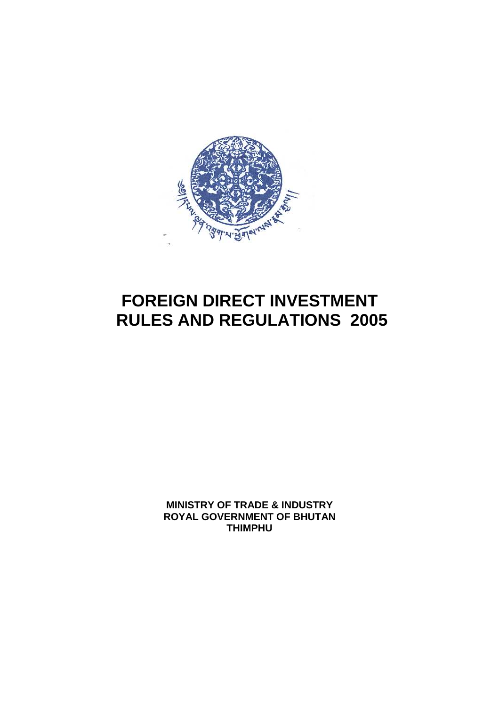

# **FOREIGN DIRECT INVESTMENT RULES AND REGULATIONS 2005**

**MINISTRY OF TRADE & INDUSTRY ROYAL GOVERNMENT OF BHUTAN THIMPHU**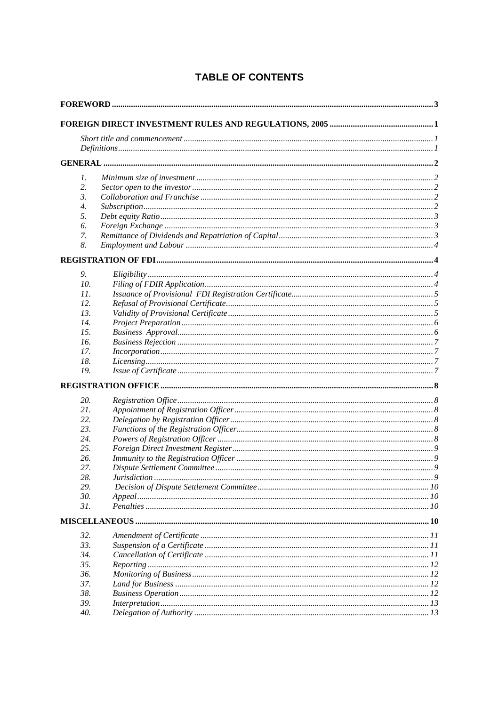| 1.               |  |
|------------------|--|
| 2.               |  |
| $\mathfrak{Z}$ . |  |
| 4.               |  |
| 5.               |  |
| 6.               |  |
| 7.               |  |
| 8.               |  |
|                  |  |
|                  |  |
| 9.               |  |
| 10.              |  |
| 11.              |  |
| 12.              |  |
| 13.              |  |
| 14.              |  |
| 15.              |  |
| 16.              |  |
| 17.              |  |
| 18.              |  |
| 19.              |  |
|                  |  |
| 20.              |  |
| 21.              |  |
| 22.              |  |
| 23.              |  |
| 24.              |  |
| 25.              |  |
| 26.              |  |
| 27.              |  |
| 28.              |  |
| 29.              |  |
| 30.              |  |
| 31.              |  |
|                  |  |
| 32.              |  |
| 33.              |  |
| 34.              |  |
| 35.              |  |
| 36.              |  |
| 37.              |  |
| 38.              |  |
| 39.              |  |
| 40.              |  |
|                  |  |

# **TABLE OF CONTENTS**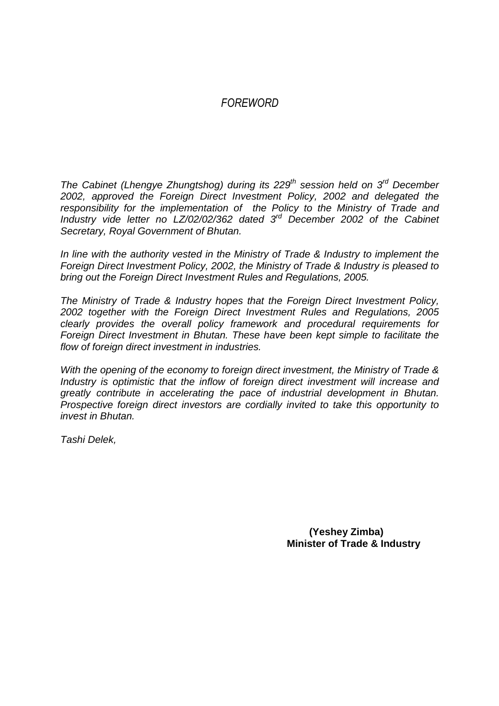# *FOREWORD*

The Cabinet (Lhengye Zhungtshog) during its  $229<sup>th</sup>$  session held on  $3<sup>rd</sup>$  December 2002, approved the Foreign Direct Investment Policy, 2002 and delegated the responsibility for the implementation of the Policy to the Ministry of Trade and Industry vide letter no  $LZ/02/02/362$  dated  $3<sup>rd</sup>$  December 2002 of the Cabinet Secretary, Royal Government of Bhutan.

In line with the authority vested in the Ministry of Trade & Industry to implement the Foreign Direct Investment Policy, 2002, the Ministry of Trade & Industry is pleased to bring out the Foreign Direct Investment Rules and Regulations, 2005.

The Ministry of Trade & Industry hopes that the Foreign Direct Investment Policy, 2002 together with the Foreign Direct Investment Rules and Regulations, 2005 clearly provides the overall policy framework and procedural requirements for Foreign Direct Investment in Bhutan. These have been kept simple to facilitate the flow of foreign direct investment in industries.

With the opening of the economy to foreign direct investment, the Ministry of Trade & Industry is optimistic that the inflow of foreign direct investment will increase and greatly contribute in accelerating the pace of industrial development in Bhutan. Prospective foreign direct investors are cordially invited to take this opportunity to invest in Bhutan.

Tashi Delek,

 **(Yeshey Zimba) Minister of Trade & Industry**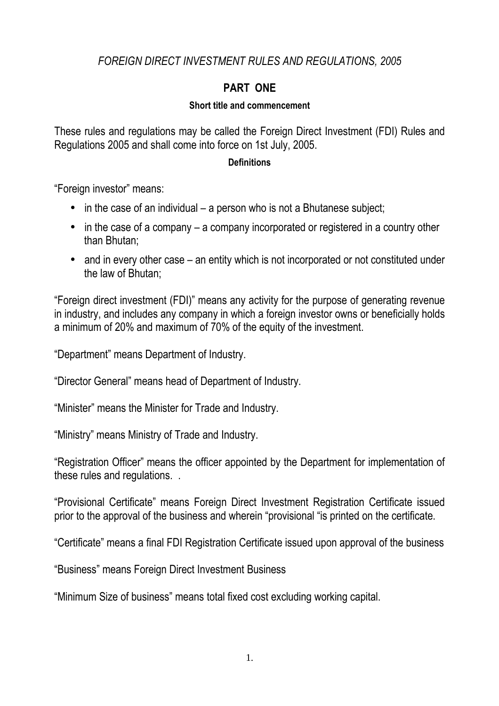# *FOREIGN DIRECT INVESTMENT RULES AND REGULATIONS, 2005*

# **PART ONE**

#### **Short title and commencement**

These rules and regulations may be called the Foreign Direct Investment (FDI) Rules and Regulations 2005 and shall come into force on 1st July, 2005.

#### **Definitions**

"Foreign investor" means:

- $\bullet$  in the case of an individual a person who is not a Bhutanese subject;
- in the case of a company a company incorporated or registered in a country other than Bhutan;
- and in every other case an entity which is not incorporated or not constituted under the law of Bhutan;

"Foreign direct investment (FDI)" means any activity for the purpose of generating revenue in industry, and includes any company in which a foreign investor owns or beneficially holds a minimum of 20% and maximum of 70% of the equity of the investment.

"Department" means Department of Industry.

"Director General" means head of Department of Industry.

"Minister" means the Minister for Trade and Industry.

"Ministry" means Ministry of Trade and Industry.

"Registration Officer" means the officer appointed by the Department for implementation of these rules and regulations. .

"Provisional Certificate" means Foreign Direct Investment Registration Certificate issued prior to the approval of the business and wherein "provisional "is printed on the certificate.

"Certificate" means a final FDI Registration Certificate issued upon approval of the business

"Business" means Foreign Direct Investment Business

"Minimum Size of business" means total fixed cost excluding working capital.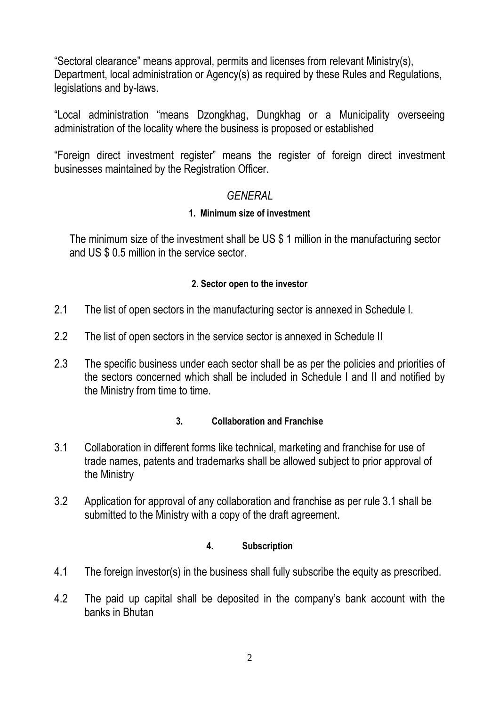"Sectoral clearance" means approval, permits and licenses from relevant Ministry(s), Department, local administration or Agency(s) as required by these Rules and Regulations, legislations and by-laws.

"Local administration "means Dzongkhag, Dungkhag or a Municipality overseeing administration of the locality where the business is proposed or established

"Foreign direct investment register" means the register of foreign direct investment businesses maintained by the Registration Officer.

# *GENERAL*

# **1. Minimum size of investment**

The minimum size of the investment shall be US \$ 1 million in the manufacturing sector and US \$ 0.5 million in the service sector.

# **2. Sector open to the investor**

- 2.1 The list of open sectors in the manufacturing sector is annexed in Schedule I.
- 2.2 The list of open sectors in the service sector is annexed in Schedule II
- 2.3 The specific business under each sector shall be as per the policies and priorities of the sectors concerned which shall be included in Schedule I and II and notified by the Ministry from time to time.

# **3. Collaboration and Franchise**

- 3.1 Collaboration in different forms like technical, marketing and franchise for use of trade names, patents and trademarks shall be allowed subject to prior approval of the Ministry
- 3.2 Application for approval of any collaboration and franchise as per rule 3.1 shall be submitted to the Ministry with a copy of the draft agreement.

### **4. Subscription**

- 4.1 The foreign investor(s) in the business shall fully subscribe the equity as prescribed.
- 4.2 The paid up capital shall be deposited in the company's bank account with the banks in Bhutan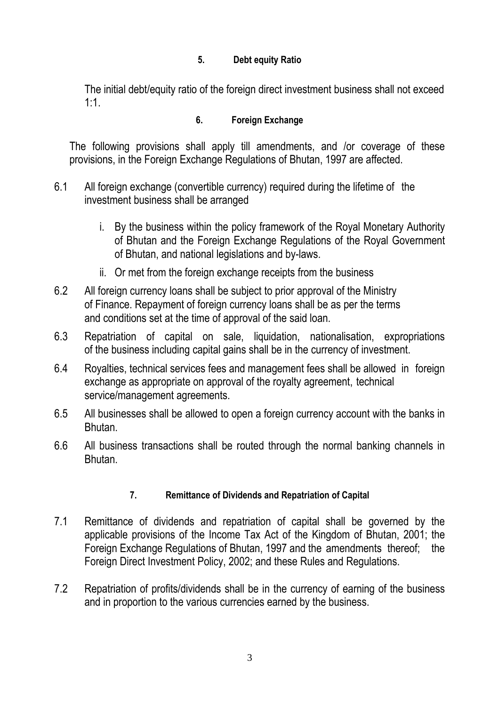### **5. Debt equity Ratio**

The initial debt/equity ratio of the foreign direct investment business shall not exceed 1:1.

#### **6. Foreign Exchange**

The following provisions shall apply till amendments, and /or coverage of these provisions, in the Foreign Exchange Regulations of Bhutan, 1997 are affected.

- 6.1 All foreign exchange (convertible currency) required during the lifetime of the investment business shall be arranged
	- i. By the business within the policy framework of the Royal Monetary Authority of Bhutan and the Foreign Exchange Regulations of the Royal Government of Bhutan, and national legislations and by-laws.
	- ii. Or met from the foreign exchange receipts from the business
- 6.2 All foreign currency loans shall be subject to prior approval of the Ministry of Finance. Repayment of foreign currency loans shall be as per the terms and conditions set at the time of approval of the said loan.
- 6.3 Repatriation of capital on sale, liquidation, nationalisation, expropriations of the business including capital gains shall be in the currency of investment.
- 6.4 Royalties, technical services fees and management fees shall be allowed in foreign exchange as appropriate on approval of the royalty agreement, technical service/management agreements.
- 6.5 All businesses shall be allowed to open a foreign currency account with the banks in Bhutan.
- 6.6 All business transactions shall be routed through the normal banking channels in Bhutan.

### **7. Remittance of Dividends and Repatriation of Capital**

- 7.1 Remittance of dividends and repatriation of capital shall be governed by the applicable provisions of the Income Tax Act of the Kingdom of Bhutan, 2001; the Foreign Exchange Regulations of Bhutan, 1997 and the amendments thereof; the Foreign Direct Investment Policy, 2002; and these Rules and Regulations.
- 7.2 Repatriation of profits/dividends shall be in the currency of earning of the business and in proportion to the various currencies earned by the business.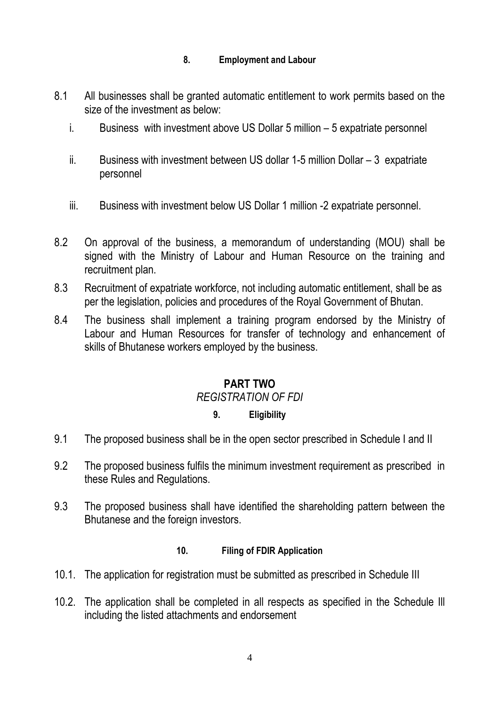#### **8. Employment and Labour**

- 8.1 All businesses shall be granted automatic entitlement to work permits based on the size of the investment as below:
	- i. Business with investment above US Dollar 5 million 5 expatriate personnel
	- ii. Business with investment between US dollar 1-5 million Dollar 3 expatriate personnel
	- iii. Business with investment below US Dollar 1 million -2 expatriate personnel.
- 8.2 On approval of the business, a memorandum of understanding (MOU) shall be signed with the Ministry of Labour and Human Resource on the training and recruitment plan.
- 8.3 Recruitment of expatriate workforce, not including automatic entitlement, shall be as per the legislation, policies and procedures of the Royal Government of Bhutan.
- 8.4 The business shall implement a training program endorsed by the Ministry of Labour and Human Resources for transfer of technology and enhancement of skills of Bhutanese workers employed by the business.

# **PART TWO**

### *REGISTRATION OF FDI*

### **9. Eligibility**

- 9.1 The proposed business shall be in the open sector prescribed in Schedule I and II
- 9.2 The proposed business fulfils the minimum investment requirement as prescribed in these Rules and Regulations.
- 9.3 The proposed business shall have identified the shareholding pattern between the Bhutanese and the foreign investors.

#### **10. Filing of FDIR Application**

- 10.1. The application for registration must be submitted as prescribed in Schedule III
- 10.2. The application shall be completed in all respects as specified in the Schedule Ill including the listed attachments and endorsement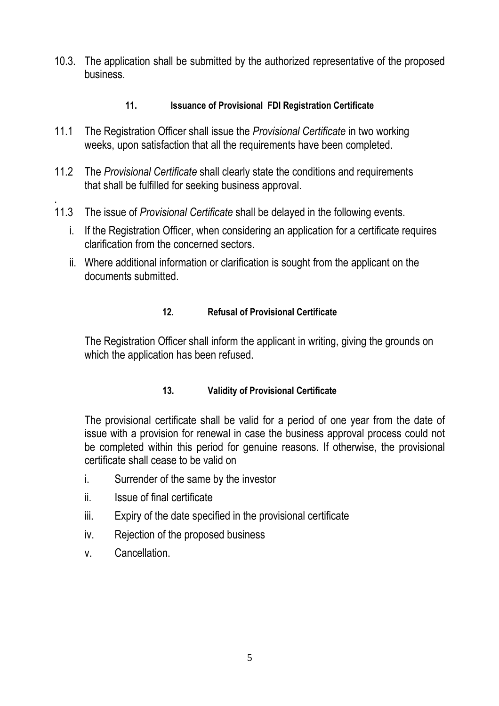10.3. The application shall be submitted by the authorized representative of the proposed business.

### **11. Issuance of Provisional FDI Registration Certificate**

- 11.1 The Registration Officer shall issue the *Provisional Certificate* in two working weeks, upon satisfaction that all the requirements have been completed.
- 11.2 The *Provisional Certificate* shall clearly state the conditions and requirements that shall be fulfilled for seeking business approval.
- . 11.3 The issue of *Provisional Certificate* shall be delayed in the following events.
	- i. If the Registration Officer, when considering an application for a certificate requires clarification from the concerned sectors.
	- ii. Where additional information or clarification is sought from the applicant on the documents submitted.

### **12. Refusal of Provisional Certificate**

The Registration Officer shall inform the applicant in writing, giving the grounds on which the application has been refused.

### **13. Validity of Provisional Certificate**

The provisional certificate shall be valid for a period of one year from the date of issue with a provision for renewal in case the business approval process could not be completed within this period for genuine reasons. If otherwise, the provisional certificate shall cease to be valid on

- i. Surrender of the same by the investor
- ii. Issue of final certificate
- iii. Expiry of the date specified in the provisional certificate
- iv. Rejection of the proposed business
- v. Cancellation.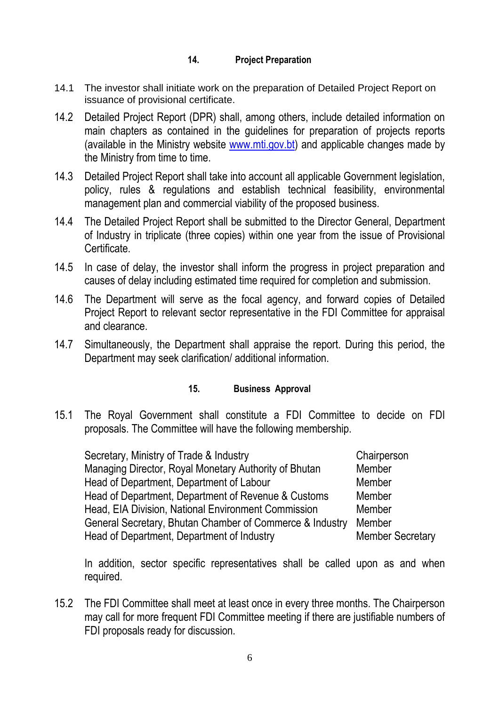#### **14. Project Preparation**

- 14.1 The investor shall initiate work on the preparation of Detailed Project Report on issuance of provisional certificate.
- 14.2 Detailed Project Report (DPR) shall, among others, include detailed information on main chapters as contained in the guidelines for preparation of projects reports (available in the Ministry website www.mti.gov.bt) and applicable changes made by the Ministry from time to time.
- 14.3 Detailed Project Report shall take into account all applicable Government legislation, policy, rules & regulations and establish technical feasibility, environmental management plan and commercial viability of the proposed business.
- 14.4 The Detailed Project Report shall be submitted to the Director General, Department of Industry in triplicate (three copies) within one year from the issue of Provisional Certificate.
- 14.5 In case of delay, the investor shall inform the progress in project preparation and causes of delay including estimated time required for completion and submission.
- 14.6 The Department will serve as the focal agency, and forward copies of Detailed Project Report to relevant sector representative in the FDI Committee for appraisal and clearance.
- 14.7 Simultaneously, the Department shall appraise the report. During this period, the Department may seek clarification/ additional information.

#### **15. Business Approval**

15.1 The Royal Government shall constitute a FDI Committee to decide on FDI proposals. The Committee will have the following membership.

| Chairperson             |
|-------------------------|
| Member                  |
| Member                  |
| Member                  |
| <b>Member</b>           |
| Member                  |
| <b>Member Secretary</b> |
|                         |

 In addition, sector specific representatives shall be called upon as and when required.

15.2 The FDI Committee shall meet at least once in every three months. The Chairperson may call for more frequent FDI Committee meeting if there are justifiable numbers of FDI proposals ready for discussion.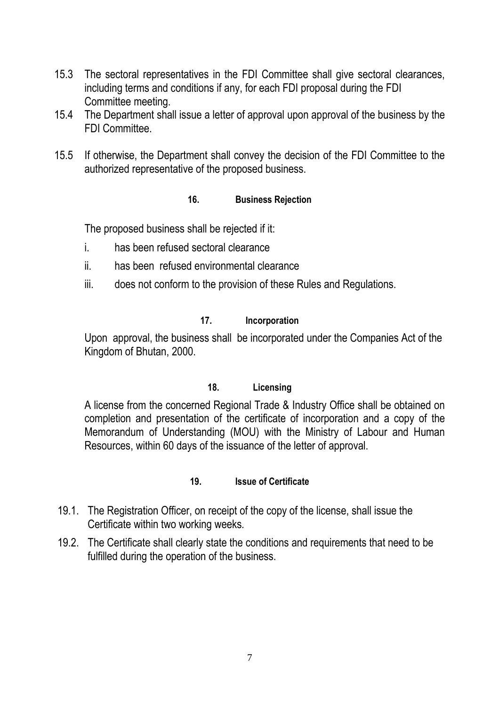- 15.3 The sectoral representatives in the FDI Committee shall give sectoral clearances, including terms and conditions if any, for each FDI proposal during the FDI Committee meeting.
- 15.4 The Department shall issue a letter of approval upon approval of the business by the FDI Committee.
- 15.5 If otherwise, the Department shall convey the decision of the FDI Committee to the authorized representative of the proposed business.

#### **16. Business Rejection**

The proposed business shall be rejected if it:

- i. has been refused sectoral clearance
- ii. has been refused environmental clearance
- iii. does not conform to the provision of these Rules and Regulations.

#### **17. Incorporation**

Upon approval, the business shall be incorporated under the Companies Act of the Kingdom of Bhutan, 2000.

#### **18. Licensing**

A license from the concerned Regional Trade & Industry Office shall be obtained on completion and presentation of the certificate of incorporation and a copy of the Memorandum of Understanding (MOU) with the Ministry of Labour and Human Resources, within 60 days of the issuance of the letter of approval.

#### **19. Issue of Certificate**

- 19.1. The Registration Officer, on receipt of the copy of the license, shall issue the Certificate within two working weeks*.*
- 19.2. The Certificate shall clearly state the conditions and requirements that need to be fulfilled during the operation of the business.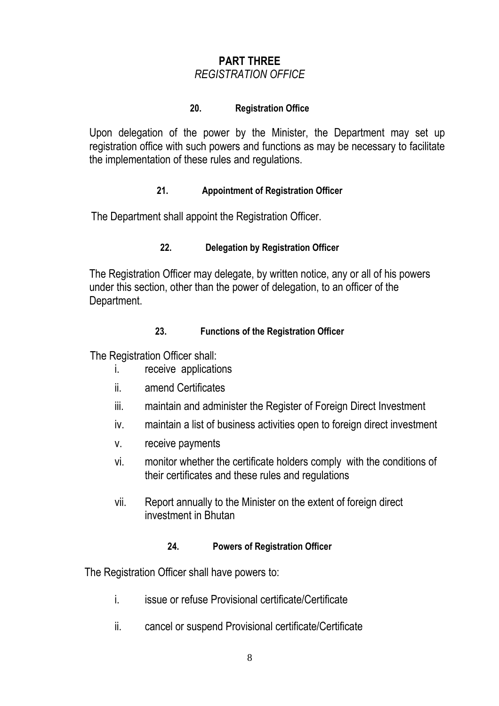# **PART THREE**  *REGISTRATION OFFICE*

#### **20. Registration Office**

 Upon delegation of the power by the Minister, the Department may set up registration office with such powers and functions as may be necessary to facilitate the implementation of these rules and regulations.

#### **21. Appointment of Registration Officer**

The Department shall appoint the Registration Officer.

#### **22. Delegation by Registration Officer**

 The Registration Officer may delegate, by written notice, any or all of his powers under this section, other than the power of delegation, to an officer of the Department.

#### **23. Functions of the Registration Officer**

The Registration Officer shall:

- i. receive applications
- ii. amend Certificates
- iii. maintain and administer the Register of Foreign Direct Investment
- iv. maintain a list of business activities open to foreign direct investment
- v. receive payments
- vi. monitor whether the certificate holders comply with the conditions of their certificates and these rules and regulations
- vii. Report annually to the Minister on the extent of foreign direct investment in Bhutan

#### **24. Powers of Registration Officer**

The Registration Officer shall have powers to:

- i. issue or refuse Provisional certificate/Certificate
- ii. cancel or suspend Provisional certificate/Certificate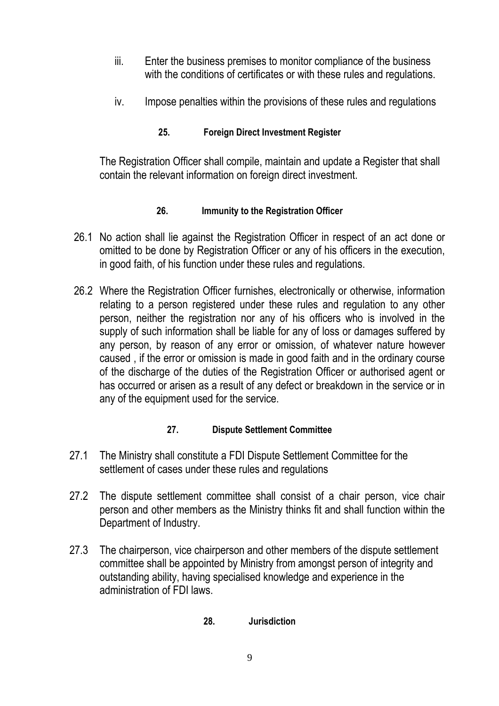- iii. Enter the business premises to monitor compliance of the business with the conditions of certificates or with these rules and regulations.
- iv. Impose penalties within the provisions of these rules and regulations

# **25. Foreign Direct Investment Register**

 The Registration Officer shall compile, maintain and update a Register that shall contain the relevant information on foreign direct investment.

### **26. Immunity to the Registration Officer**

- 26.1 No action shall lie against the Registration Officer in respect of an act done or omitted to be done by Registration Officer or any of his officers in the execution, in good faith, of his function under these rules and regulations.
- 26.2 Where the Registration Officer furnishes, electronically or otherwise, information relating to a person registered under these rules and regulation to any other person, neither the registration nor any of his officers who is involved in the supply of such information shall be liable for any of loss or damages suffered by any person, by reason of any error or omission, of whatever nature however caused , if the error or omission is made in good faith and in the ordinary course of the discharge of the duties of the Registration Officer or authorised agent or has occurred or arisen as a result of any defect or breakdown in the service or in any of the equipment used for the service.

### **27. Dispute Settlement Committee**

- 27.1 The Ministry shall constitute a FDI Dispute Settlement Committee for the settlement of cases under these rules and regulations
- 27.2 The dispute settlement committee shall consist of a chair person, vice chair person and other members as the Ministry thinks fit and shall function within the Department of Industry.
- 27.3 The chairperson, vice chairperson and other members of the dispute settlement committee shall be appointed by Ministry from amongst person of integrity and outstanding ability, having specialised knowledge and experience in the administration of FDI laws.

### **28. Jurisdiction**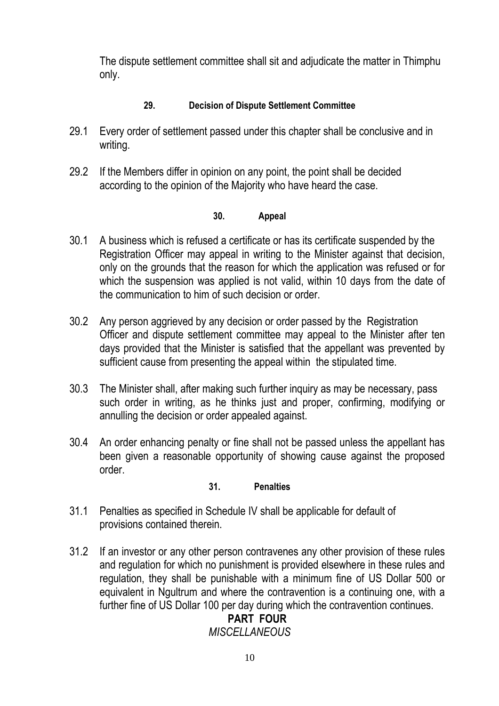The dispute settlement committee shall sit and adjudicate the matter in Thimphu only.

### **29. Decision of Dispute Settlement Committee**

- 29.1 Every order of settlement passed under this chapter shall be conclusive and in writing.
- 29.2 If the Members differ in opinion on any point, the point shall be decided according to the opinion of the Majority who have heard the case.

#### **30. Appeal**

- 30.1 A business which is refused a certificate or has its certificate suspended by the Registration Officer may appeal in writing to the Minister against that decision, only on the grounds that the reason for which the application was refused or for which the suspension was applied is not valid, within 10 days from the date of the communication to him of such decision or order.
- 30.2 Any person aggrieved by any decision or order passed by the Registration Officer and dispute settlement committee may appeal to the Minister after ten days provided that the Minister is satisfied that the appellant was prevented by sufficient cause from presenting the appeal within the stipulated time.
- 30.3 The Minister shall, after making such further inquiry as may be necessary, pass such order in writing, as he thinks just and proper, confirming, modifying or annulling the decision or order appealed against.
- 30.4 An order enhancing penalty or fine shall not be passed unless the appellant has been given a reasonable opportunity of showing cause against the proposed order.

### **31. Penalties**

- 31.1 Penalties as specified in Schedule IV shall be applicable for default of provisions contained therein.
- 31.2 If an investor or any other person contravenes any other provision of these rules and regulation for which no punishment is provided elsewhere in these rules and regulation, they shall be punishable with a minimum fine of US Dollar 500 or equivalent in Ngultrum and where the contravention is a continuing one, with a further fine of US Dollar 100 per day during which the contravention continues.

# **PART FOUR**

*MISCELLANEOUS*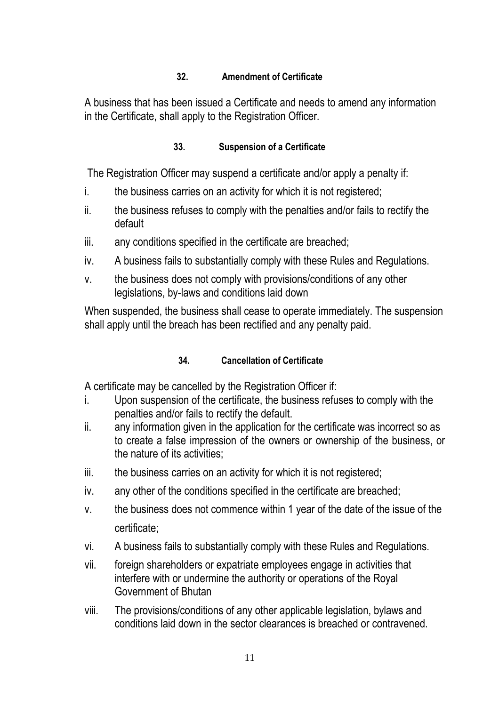# **32. Amendment of Certificate**

A business that has been issued a Certificate and needs to amend any information in the Certificate, shall apply to the Registration Officer.

### **33. Suspension of a Certificate**

The Registration Officer may suspend a certificate and/or apply a penalty if:

- i. the business carries on an activity for which it is not registered;
- ii. the business refuses to comply with the penalties and/or fails to rectify the default
- iii. any conditions specified in the certificate are breached;
- iv. A business fails to substantially comply with these Rules and Regulations.
- v. the business does not comply with provisions/conditions of any other legislations, by-laws and conditions laid down

 When suspended, the business shall cease to operate immediately. The suspension shall apply until the breach has been rectified and any penalty paid.

### **34. Cancellation of Certificate**

A certificate may be cancelled by the Registration Officer if:

- i. Upon suspension of the certificate, the business refuses to comply with the penalties and/or fails to rectify the default.
- ii. any information given in the application for the certificate was incorrect so as to create a false impression of the owners or ownership of the business, or the nature of its activities;
- iii. the business carries on an activity for which it is not registered;
- iv. any other of the conditions specified in the certificate are breached;
- v. the business does not commence within 1 year of the date of the issue of the certificate;
- vi. A business fails to substantially comply with these Rules and Regulations.
- vii. foreign shareholders or expatriate employees engage in activities that interfere with or undermine the authority or operations of the Royal Government of Bhutan
- viii. The provisions/conditions of any other applicable legislation, bylaws and conditions laid down in the sector clearances is breached or contravened.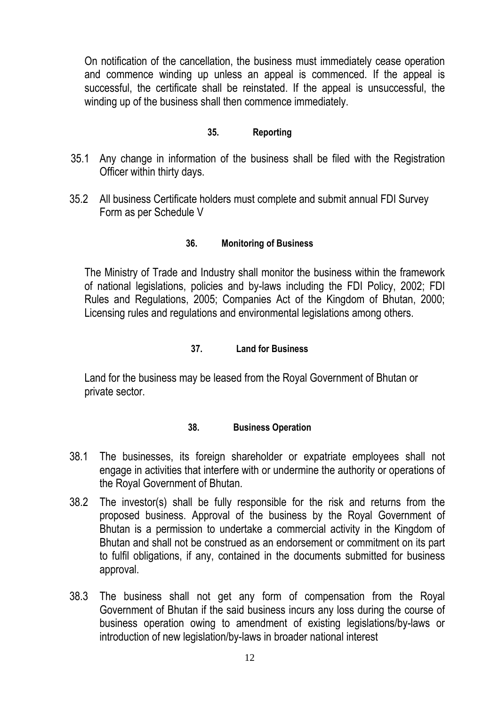On notification of the cancellation, the business must immediately cease operation and commence winding up unless an appeal is commenced. If the appeal is successful, the certificate shall be reinstated. If the appeal is unsuccessful, the winding up of the business shall then commence immediately.

#### **35. Reporting**

- 35.1 Any change in information of the business shall be filed with the Registration Officer within thirty days.
- 35.2 All business Certificate holders must complete and submit annual FDI Survey Form as per Schedule V

#### **36. Monitoring of Business**

 The Ministry of Trade and Industry shall monitor the business within the framework of national legislations, policies and by-laws including the FDI Policy, 2002; FDI Rules and Regulations, 2005; Companies Act of the Kingdom of Bhutan, 2000; Licensing rules and regulations and environmental legislations among others.

#### **37. Land for Business**

 Land for the business may be leased from the Royal Government of Bhutan or private sector.

#### **38. Business Operation**

- 38.1 The businesses, its foreign shareholder or expatriate employees shall not engage in activities that interfere with or undermine the authority or operations of the Royal Government of Bhutan.
- 38.2 The investor(s) shall be fully responsible for the risk and returns from the proposed business. Approval of the business by the Royal Government of Bhutan is a permission to undertake a commercial activity in the Kingdom of Bhutan and shall not be construed as an endorsement or commitment on its part to fulfil obligations, if any, contained in the documents submitted for business approval.
- 38.3 The business shall not get any form of compensation from the Royal Government of Bhutan if the said business incurs any loss during the course of business operation owing to amendment of existing legislations/by-laws or introduction of new legislation/by-laws in broader national interest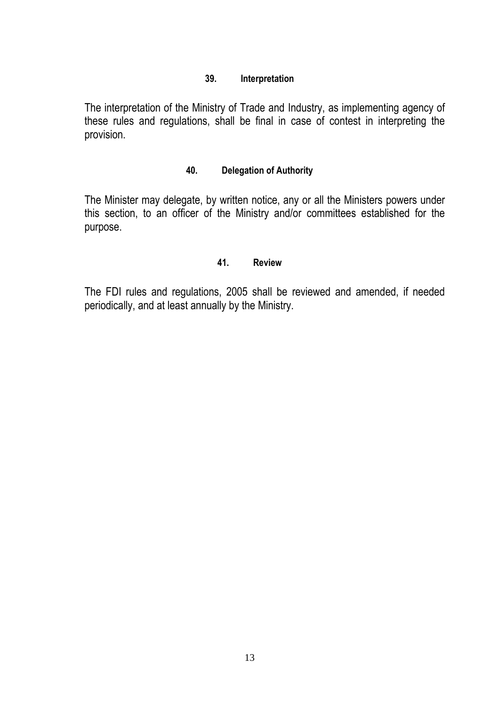#### **39. Interpretation**

 The interpretation of the Ministry of Trade and Industry, as implementing agency of these rules and regulations, shall be final in case of contest in interpreting the provision.

#### **40. Delegation of Authority**

 The Minister may delegate, by written notice, any or all the Ministers powers under this section, to an officer of the Ministry and/or committees established for the purpose.

#### **41. Review**

 The FDI rules and regulations, 2005 shall be reviewed and amended, if needed periodically, and at least annually by the Ministry.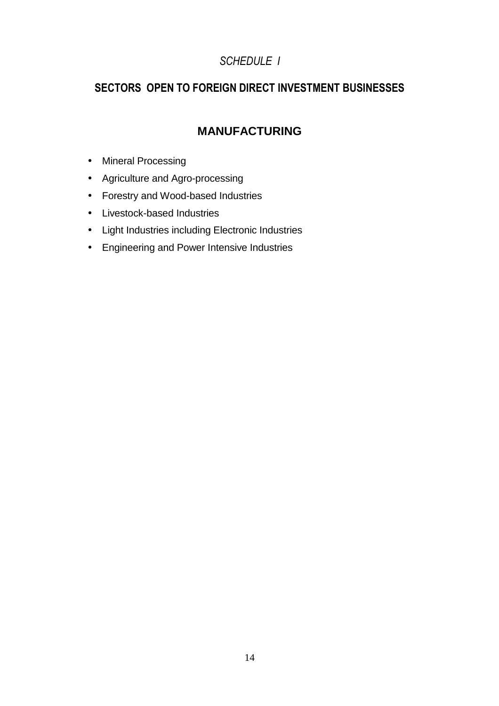# *SCHEDULE I*

# **SECTORS OPEN TO FOREIGN DIRECT INVESTMENT BUSINESSES**

# **MANUFACTURING**

- Mineral Processing
- Agriculture and Agro-processing
- Forestry and Wood-based Industries
- Livestock-based Industries
- Light Industries including Electronic Industries
- Engineering and Power Intensive Industries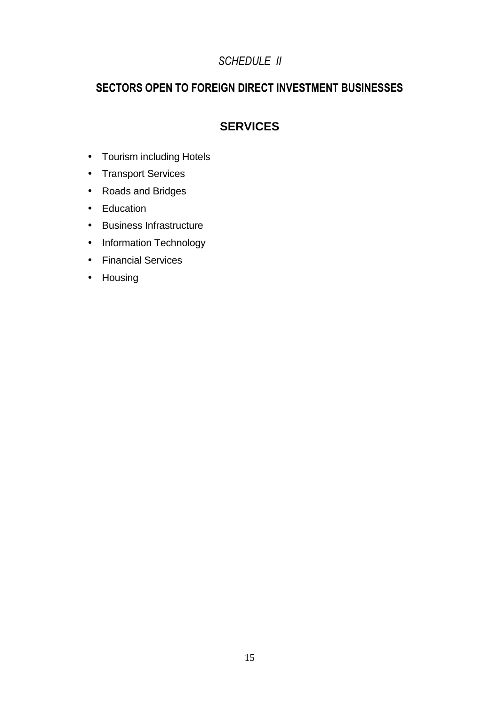# *SCHEDULE II*

# **SECTORS OPEN TO FOREIGN DIRECT INVESTMENT BUSINESSES**

# **SERVICES**

- Tourism including Hotels
- Transport Services
- Roads and Bridges
- Education
- Business Infrastructure
- Information Technology
- Financial Services
- Housing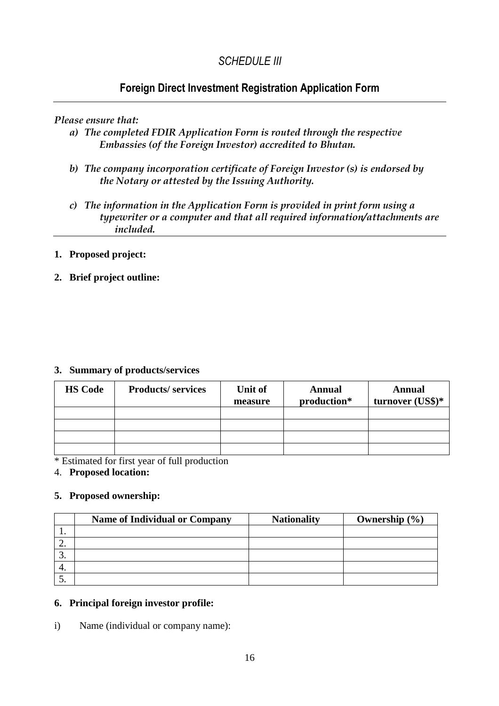# *SCHEDULE III*

# **Foreign Direct Investment Registration Application Form**

#### *Please ensure that:*

- *a) The completed FDIR Application Form is routed through the respective Embassies (of the Foreign Investor) accredited to Bhutan.*
- *b) The company incorporation certificate of Foreign Investor (s) is endorsed by the Notary or attested by the Issuing Authority.*
- *c) The information in the Application Form is provided in print form using a typewriter or a computer and that all required information/attachments are included.*

#### **1. Proposed project:**

#### **2. Brief project outline:**

#### **3. Summary of products/services**

| <b>HS Code</b> | <b>Products/services</b> | Unit of<br>measure | <b>Annual</b><br>production* | <b>Annual</b><br>turnover (US\$)* |
|----------------|--------------------------|--------------------|------------------------------|-----------------------------------|
|                |                          |                    |                              |                                   |
|                |                          |                    |                              |                                   |
|                |                          |                    |                              |                                   |
|                |                          |                    |                              |                                   |

\* Estimated for first year of full production

4. **Proposed location:**

#### **5. Proposed ownership:**

|     | <b>Name of Individual or Company</b> | <b>Nationality</b> | Ownership $(\% )$ |
|-----|--------------------------------------|--------------------|-------------------|
| . . |                                      |                    |                   |
| ـ ت |                                      |                    |                   |
|     |                                      |                    |                   |
|     |                                      |                    |                   |
|     |                                      |                    |                   |

#### **6. Principal foreign investor profile:**

i) Name (individual or company name):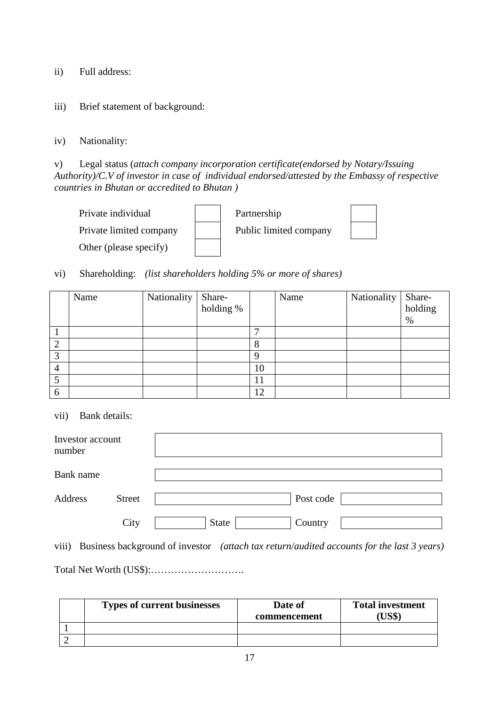ii) Full address:

iii) Brief statement of background:

iv) Nationality:

v) Legal status (*attach company incorporation certificate(endorsed by Notary/Issuing Authority)/C.V of investor in case of individual endorsed/attested by the Embassy of respective countries in Bhutan or accredited to Bhutan )* 



vi) Shareholding: *(list shareholders holding 5% or more of shares)* 

|                | Name | Nationality | Share-<br>holding % |    | Name | Nationality | Share-<br>holding<br>% |
|----------------|------|-------------|---------------------|----|------|-------------|------------------------|
|                |      |             |                     | −  |      |             |                        |
| റ<br>∠         |      |             |                     |    |      |             |                        |
| 3              |      |             |                     | Q  |      |             |                        |
| $\overline{4}$ |      |             |                     | 10 |      |             |                        |
|                |      |             |                     |    |      |             |                        |
| 6              |      |             |                     | 12 |      |             |                        |

vii) Bank details:

| Investor account<br>number |               |                  |
|----------------------------|---------------|------------------|
| Bank name                  |               |                  |
| Address                    | <b>Street</b> | Post code        |
|                            | City          | State<br>Country |

viii) Business background of investor *(attach tax return/audited accounts for the last 3 years)* 

Total Net Worth (US\$):……………………….

| <b>Types of current businesses</b> | Date of<br>commencement | <b>Total investment</b><br>(US\$) |
|------------------------------------|-------------------------|-----------------------------------|
|                                    |                         |                                   |
|                                    |                         |                                   |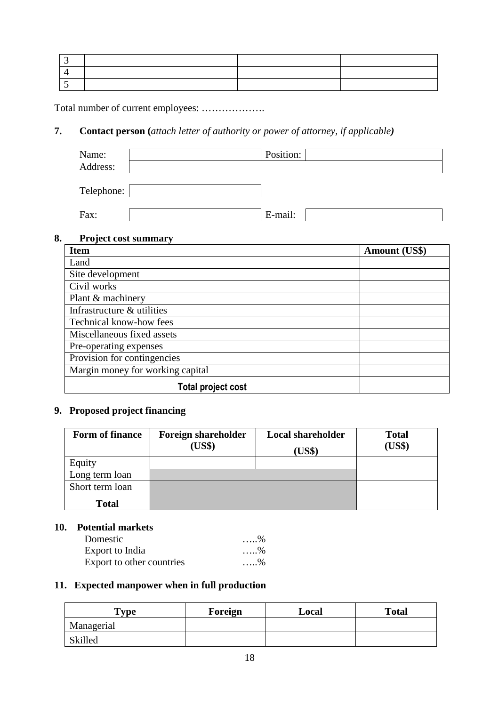Total number of current employees: ……………….

#### **7. Contact person (***attach letter of authority or power of attorney, if applicable)*

| Name:<br>Address: | Position: |
|-------------------|-----------|
| Telephone:        |           |
| Fax:              | E-mail:   |

#### **8. Project cost summary**

| <b>Item</b>                      | <b>Amount (US\$)</b> |
|----------------------------------|----------------------|
| Land                             |                      |
| Site development                 |                      |
| Civil works                      |                      |
| Plant & machinery                |                      |
| Infrastructure & utilities       |                      |
| Technical know-how fees          |                      |
| Miscellaneous fixed assets       |                      |
| Pre-operating expenses           |                      |
| Provision for contingencies      |                      |
| Margin money for working capital |                      |
| <b>Total project cost</b>        |                      |

### **9. Proposed project financing**

| Form of finance | <b>Foreign shareholder</b><br>(US\$) | <b>Local shareholder</b><br>(US\$) | <b>Total</b><br>(US\$) |
|-----------------|--------------------------------------|------------------------------------|------------------------|
| Equity          |                                      |                                    |                        |
| Long term loan  |                                      |                                    |                        |
| Short term loan |                                      |                                    |                        |
| <b>Total</b>    |                                      |                                    |                        |

#### **10. Potential markets**

| Domestic                  | $\ldots 96$ |
|---------------------------|-------------|
| Export to India           | $\ldots$ %  |
| Export to other countries | $\ldots$ %  |

#### **11. Expected manpower when in full production**

| $T$ <sub>V</sub> $pe$ | Foreign | Local | <b>Total</b> |
|-----------------------|---------|-------|--------------|
| Managerial            |         |       |              |
| Skilled               |         |       |              |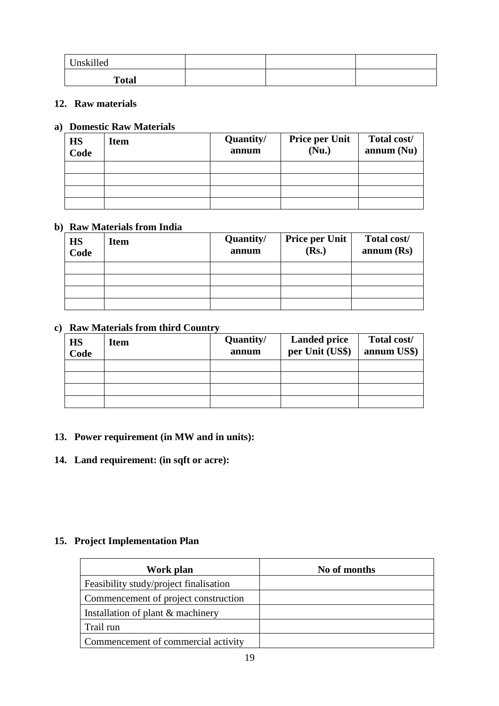| Unskilled    |  |  |
|--------------|--|--|
| <b>Total</b> |  |  |

#### **12. Raw materials**

#### **a) Domestic Raw Materials**

| HS<br>Code | <b>Item</b> | Quantity/<br>annum | <b>Price per Unit</b><br>(Nu.) | Total cost/<br>annum(Nu) |
|------------|-------------|--------------------|--------------------------------|--------------------------|
|            |             |                    |                                |                          |
|            |             |                    |                                |                          |
|            |             |                    |                                |                          |
|            |             |                    |                                |                          |

#### **b) Raw Materials from India**

| HS<br>Code | <b>Item</b> | Quantity/<br>annum | <b>Price per Unit</b><br>(Rs.) | Total cost/<br>annum(Rs) |
|------------|-------------|--------------------|--------------------------------|--------------------------|
|            |             |                    |                                |                          |
|            |             |                    |                                |                          |
|            |             |                    |                                |                          |
|            |             |                    |                                |                          |

#### **c) Raw Materials from third Country**

| HS<br>Code | <b>Item</b> | Quantity/<br>annum | <b>Landed price</b><br>per Unit (US\$) | Total cost/<br>annum US\$) |
|------------|-------------|--------------------|----------------------------------------|----------------------------|
|            |             |                    |                                        |                            |
|            |             |                    |                                        |                            |
|            |             |                    |                                        |                            |
|            |             |                    |                                        |                            |

#### **13. Power requirement (in MW and in units):**

#### **14. Land requirement: (in sqft or acre):**

#### **15. Project Implementation Plan**

| Work plan                              | No of months |
|----------------------------------------|--------------|
| Feasibility study/project finalisation |              |
| Commencement of project construction   |              |
| Installation of plant & machinery      |              |
| Trail run                              |              |
| Commencement of commercial activity    |              |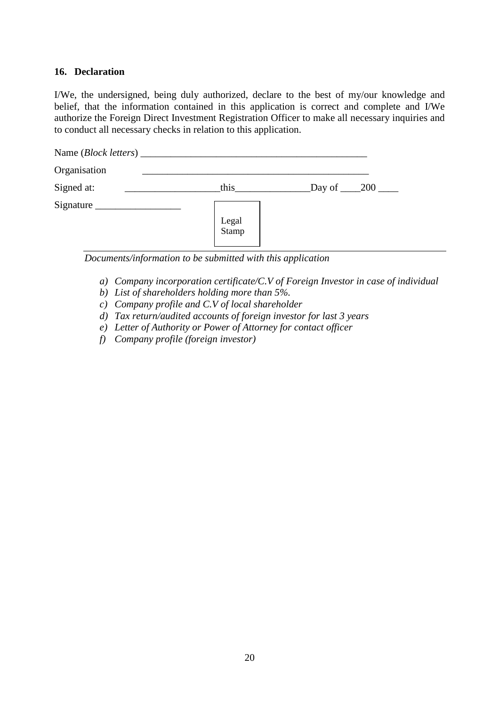#### **16. Declaration**

I/We, the undersigned, being duly authorized, declare to the best of my/our knowledge and belief, that the information contained in this application is correct and complete and I/We authorize the Foreign Direct Investment Registration Officer to make all necessary inquiries and to conduct all necessary checks in relation to this application.

| Name ( <i>Block letters</i> ) |                |                                      |
|-------------------------------|----------------|--------------------------------------|
| Organisation                  |                |                                      |
| Signed at:                    | this           | $\_\$ {Day of} \_\_\_\_200 \_\_\_\_\ |
| $Sigma$ <sub>___</sub>        |                |                                      |
|                               |                |                                      |
|                               | Legal<br>Stamp |                                      |
|                               |                |                                      |

*Documents/information to be submitted with this application* 

- *a) Company incorporation certificate/C.V of Foreign Investor in case of individual*
- *b) List of shareholders holding more than 5%.*
- *c) Company profile and C.V of local shareholder*
- *d) Tax return/audited accounts of foreign investor for last 3 years*
- *e) Letter of Authority or Power of Attorney for contact officer*
- *f) Company profile (foreign investor)*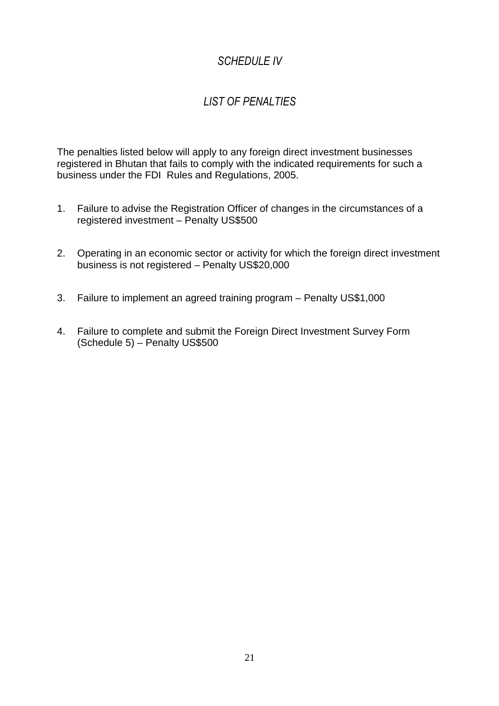# *SCHEDULE IV*

# *LIST OF PENALTIES*

The penalties listed below will apply to any foreign direct investment businesses registered in Bhutan that fails to comply with the indicated requirements for such a business under the FDI Rules and Regulations, 2005.

- 1. Failure to advise the Registration Officer of changes in the circumstances of a registered investment – Penalty US\$500
- 2. Operating in an economic sector or activity for which the foreign direct investment business is not registered – Penalty US\$20,000
- 3. Failure to implement an agreed training program Penalty US\$1,000
- 4. Failure to complete and submit the Foreign Direct Investment Survey Form (Schedule 5) – Penalty US\$500